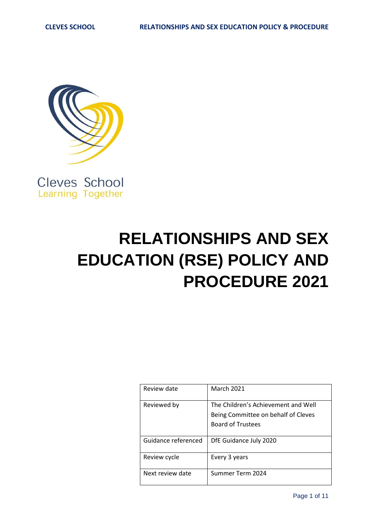

Cleves School Learning Together

# **RELATIONSHIPS AND SEX EDUCATION (RSE) POLICY AND PROCEDURE 2021**

| Review date         | <b>March 2021</b>                                                                                      |
|---------------------|--------------------------------------------------------------------------------------------------------|
| Reviewed by         | The Children's Achievement and Well<br>Being Committee on behalf of Cleves<br><b>Board of Trustees</b> |
| Guidance referenced | DfE Guidance July 2020                                                                                 |
| Review cycle        | Every 3 years                                                                                          |
| Next review date    | Summer Term 2024                                                                                       |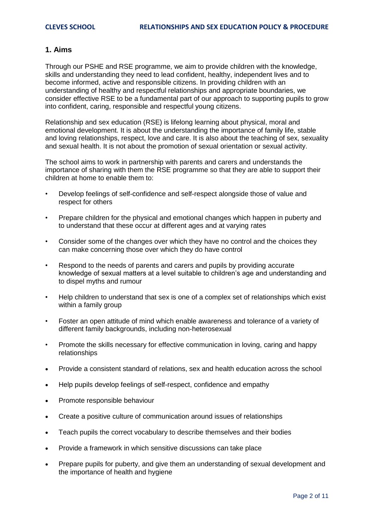# **1. Aims**

Through our PSHE and RSE programme, we aim to provide children with the knowledge, skills and understanding they need to lead confident, healthy, independent lives and to become informed, active and responsible citizens. In providing children with an understanding of healthy and respectful relationships and appropriate boundaries, we consider effective RSE to be a fundamental part of our approach to supporting pupils to grow into confident, caring, responsible and respectful young citizens.

Relationship and sex education (RSE) is lifelong learning about physical, moral and emotional development. It is about the understanding the importance of family life, stable and loving relationships, respect, love and care. It is also about the teaching of sex, sexuality and sexual health. It is not about the promotion of sexual orientation or sexual activity.

The school aims to work in partnership with parents and carers and understands the importance of sharing with them the RSE programme so that they are able to support their children at home to enable them to:

- Develop feelings of self-confidence and self-respect alongside those of value and respect for others
- Prepare children for the physical and emotional changes which happen in puberty and to understand that these occur at different ages and at varying rates
- Consider some of the changes over which they have no control and the choices they can make concerning those over which they do have control
- Respond to the needs of parents and carers and pupils by providing accurate knowledge of sexual matters at a level suitable to children's age and understanding and to dispel myths and rumour
- Help children to understand that sex is one of a complex set of relationships which exist within a family group
- Foster an open attitude of mind which enable awareness and tolerance of a variety of different family backgrounds, including non-heterosexual
- Promote the skills necessary for effective communication in loving, caring and happy relationships
- Provide a consistent standard of relations, sex and health education across the school
- Help pupils develop feelings of self-respect, confidence and empathy
- Promote responsible behaviour
- Create a positive culture of communication around issues of relationships
- Teach pupils the correct vocabulary to describe themselves and their bodies
- Provide a framework in which sensitive discussions can take place
- Prepare pupils for puberty, and give them an understanding of sexual development and the importance of health and hygiene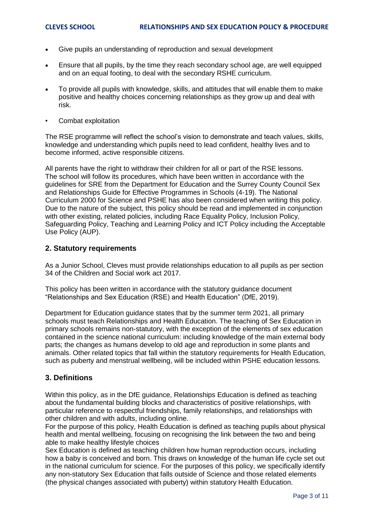- Give pupils an understanding of reproduction and sexual development
- Ensure that all pupils, by the time they reach secondary school age, are well equipped and on an equal footing, to deal with the secondary RSHE curriculum.
- To provide all pupils with knowledge, skills, and attitudes that will enable them to make positive and healthy choices concerning relationships as they grow up and deal with risk.
- Combat exploitation

The RSE programme will reflect the school's vision to demonstrate and teach values, skills, knowledge and understanding which pupils need to lead confident, healthy lives and to become informed, active responsible citizens.

All parents have the right to withdraw their children for all or part of the RSE lessons. The school will follow its procedures, which have been written in accordance with the guidelines for SRE from the Department for Education and the Surrey County Council Sex and Relationships Guide for Effective Programmes in Schools (4-19). The National Curriculum 2000 for Science and PSHE has also been considered when writing this policy. Due to the nature of the subject, this policy should be read and implemented in conjunction with other existing, related policies, including Race Equality Policy, Inclusion Policy, Safeguarding Policy, Teaching and Learning Policy and ICT Policy including the Acceptable Use Policy (AUP).

#### **2. Statutory requirements**

As a Junior School, Cleves must provide relationships education to all pupils as per section 34 of the [Children](http://www.legislation.gov.uk/ukpga/2017/16/section/34/enacted) and Social work act 2017.

This policy has been written in accordance with the statutory guidance document "Relationships and Sex Education (RSE) and Health Education" (DfE, 2019).

Department for Education guidance states that by the summer term 2021, all primary schools must teach Relationships and Health Education. The teaching of Sex Education in primary schools remains non-statutory, with the exception of the elements of sex education contained in the science national curriculum: including knowledge of the main external body parts; the changes as humans develop to old age and reproduction in some plants and animals. Other related topics that fall within the statutory requirements for Health Education, such as puberty and menstrual wellbeing, will be included within PSHE education lessons.

#### **3. Definitions**

Within this policy, as in the DfE guidance, Relationships Education is defined as teaching about the fundamental building blocks and characteristics of positive relationships, with particular reference to respectful friendships, family relationships, and relationships with other children and with adults, including online.

For the purpose of this policy, Health Education is defined as teaching pupils about physical health and mental wellbeing, focusing on recognising the link between the two and being able to make healthy lifestyle choices

Sex Education is defined as teaching children how human reproduction occurs, including how a baby is conceived and born. This draws on knowledge of the human life cycle set out in the national curriculum for science. For the purposes of this policy, we specifically identify any non-statutory Sex Education that falls outside of Science and those related elements (the physical changes associated with puberty) within statutory Health Education.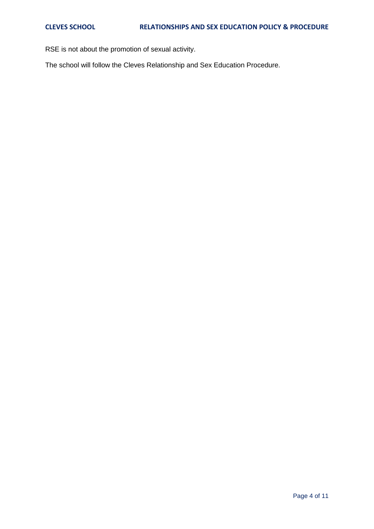RSE is not about the promotion of sexual activity.

The school will follow the Cleves Relationship and Sex Education Procedure.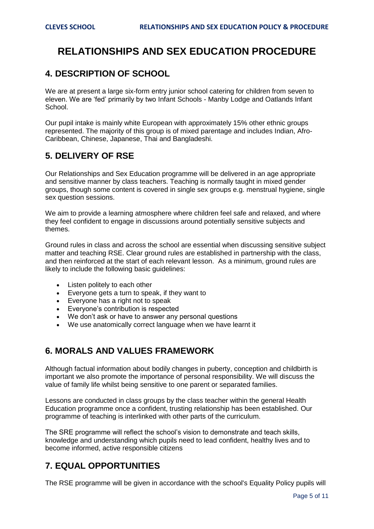# **RELATIONSHIPS AND SEX EDUCATION PROCEDURE**

# **4. DESCRIPTION OF SCHOOL**

We are at present a large six-form entry junior school catering for children from seven to eleven. We are 'fed' primarily by two Infant Schools - Manby Lodge and Oatlands Infant School.

Our pupil intake is mainly white European with approximately 15% other ethnic groups represented. The majority of this group is of mixed parentage and includes Indian, Afro-Caribbean, Chinese, Japanese, Thai and Bangladeshi.

# **5. DELIVERY OF RSE**

Our Relationships and Sex Education programme will be delivered in an age appropriate and sensitive manner by class teachers. Teaching is normally taught in mixed gender groups, though some content is covered in single sex groups e.g. menstrual hygiene, single sex question sessions.

We aim to provide a learning atmosphere where children feel safe and relaxed, and where they feel confident to engage in discussions around potentially sensitive subjects and themes.

Ground rules in class and across the school are essential when discussing sensitive subject matter and teaching RSE. Clear ground rules are established in partnership with the class, and then reinforced at the start of each relevant lesson. As a minimum, ground rules are likely to include the following basic guidelines:

- Listen politely to each other
- Everyone gets a turn to speak, if they want to
- Everyone has a right not to speak
- Everyone's contribution is respected
- We don't ask or have to answer any personal questions
- We use anatomically correct language when we have learnt it

# **6. MORALS AND VALUES FRAMEWORK**

Although factual information about bodily changes in puberty, conception and childbirth is important we also promote the importance of personal responsibility. We will discuss the value of family life whilst being sensitive to one parent or separated families.

Lessons are conducted in class groups by the class teacher within the general Health Education programme once a confident, trusting relationship has been established. Our programme of teaching is interlinked with other parts of the curriculum.

The SRE programme will reflect the school's vision to demonstrate and teach skills, knowledge and understanding which pupils need to lead confident, healthy lives and to become informed, active responsible citizens

# **7. EQUAL OPPORTUNITIES**

The RSE programme will be given in accordance with the school's Equality Policy pupils will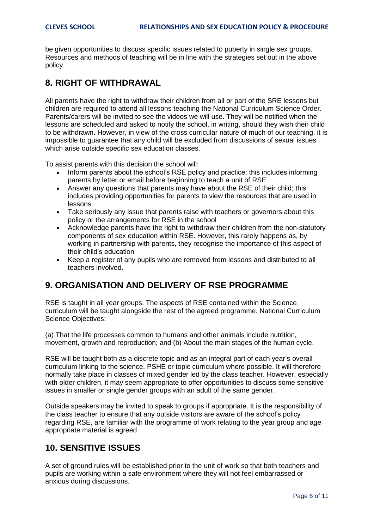be given opportunities to discuss specific issues related to puberty in single sex groups. Resources and methods of teaching will be in line with the strategies set out in the above policy.

# **8. RIGHT OF WITHDRAWAL**

All parents have the right to withdraw their children from all or part of the SRE lessons but children are required to attend all lessons teaching the National Curriculum Science Order. Parents/carers will be invited to see the videos we will use. They will be notified when the lessons are scheduled and asked to notify the school, in writing, should they wish their child to be withdrawn. However, in view of the cross curricular nature of much of our teaching, it is impossible to guarantee that any child will be excluded from discussions of sexual issues which arise outside specific sex education classes.

To assist parents with this decision the school will:

- Inform parents about the school's RSE policy and practice; this includes informing parents by letter or email before beginning to teach a unit of RSE
- Answer any questions that parents may have about the RSE of their child; this includes providing opportunities for parents to view the resources that are used in lessons
- Take seriously any issue that parents raise with teachers or governors about this policy or the arrangements for RSE in the school
- Acknowledge parents have the right to withdraw their children from the non-statutory components of sex education within RSE. However, this rarely happens as, by working in partnership with parents, they recognise the importance of this aspect of their child's education
- Keep a register of any pupils who are removed from lessons and distributed to all teachers involved.

# **9. ORGANISATION AND DELIVERY OF RSE PROGRAMME**

RSE is taught in all year groups. The aspects of RSE contained within the Science curriculum will be taught alongside the rest of the agreed programme. National Curriculum Science Objectives:

(a) That the life processes common to humans and other animals include nutrition, movement, growth and reproduction; and (b) About the main stages of the human cycle.

RSE will be taught both as a discrete topic and as an integral part of each year's overall curriculum linking to the science, PSHE or topic curriculum where possible. It will therefore normally take place in classes of mixed gender led by the class teacher. However, especially with older children, it may seem appropriate to offer opportunities to discuss some sensitive issues in smaller or single gender groups with an adult of the same gender.

Outside speakers may be invited to speak to groups if appropriate. It is the responsibility of the class teacher to ensure that any outside visitors are aware of the school's policy regarding RSE, are familiar with the programme of work relating to the year group and age appropriate material is agreed.

# **10. SENSITIVE ISSUES**

A set of ground rules will be established prior to the unit of work so that both teachers and pupils are working within a safe environment where they will not feel embarrassed or anxious during discussions.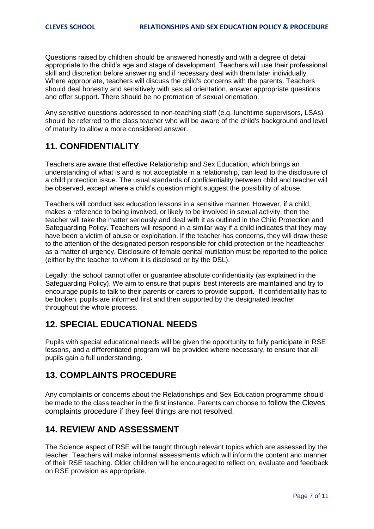Questions raised by children should be answered honestly and with a degree of detail appropriate to the child's age and stage of development. Teachers will use their professional skill and discretion before answering and if necessary deal with them later individually. Where appropriate, teachers will discuss the child's concerns with the parents. Teachers should deal honestly and sensitively with sexual orientation, answer appropriate questions and offer support. There should be no promotion of sexual orientation.

Any sensitive questions addressed to non-teaching staff (e.g. lunchtime supervisors, LSAs) should be referred to the class teacher who will be aware of the child's background and level of maturity to allow a more considered answer.

# **11. CONFIDENTIALITY**

Teachers are aware that effective Relationship and Sex Education, which brings an understanding of what is and is not acceptable in a relationship, can lead to the disclosure of a child protection issue. The usual standards of confidentiality between child and teacher will be observed, except where a child's question might suggest the possibility of abuse.

Teachers will conduct sex education lessons in a sensitive manner. However, if a child makes a reference to being involved, or likely to be involved in sexual activity, then the teacher will take the matter seriously and deal with it as outlined in the Child Protection and Safeguarding Policy. Teachers will respond in a similar way if a child indicates that they may have been a victim of abuse or exploitation. If the teacher has concerns, they will draw these to the attention of the designated person responsible for child protection or the headteacher as a matter of urgency. Disclosure of female genital mutilation must be reported to the police (either by the teacher to whom it is disclosed or by the DSL).

Legally, the school cannot offer or guarantee absolute confidentiality (as explained in the Safeguarding Policy). We aim to ensure that pupils' best interests are maintained and try to encourage pupils to talk to their parents or carers to provide support. If confidentiality has to be broken, pupils are informed first and then supported by the designated teacher throughout the whole process.

# **12. SPECIAL EDUCATIONAL NEEDS**

Pupils with special educational needs will be given the opportunity to fully participate in RSE lessons, and a differentiated program will be provided where necessary, to ensure that all pupils gain a full understanding.

# **13. COMPLAINTS PROCEDURE**

Any complaints or concerns about the Relationships and Sex Education programme should be made to the class teacher in the first instance. Parents can choose to follow the Cleves complaints procedure if they feel things are not resolved.

# **14. REVIEW AND ASSESSMENT**

The Science aspect of RSE will be taught through relevant topics which are assessed by the teacher. Teachers will make informal assessments which will inform the content and manner of their RSE teaching. Older children will be encouraged to reflect on, evaluate and feedback on RSE provision as appropriate.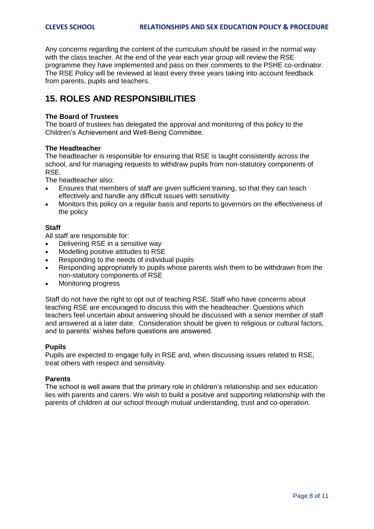Any concerns regarding the content of the curriculum should be raised in the normal way with the class teacher. At the end of the year each year group will review the RSE programme they have implemented and pass on their comments to the PSHE co-ordinator. The RSE Policy will be reviewed at least every three years taking into account feedback from parents, pupils and teachers.

# **15. ROLES AND RESPONSIBILITIES**

#### **The Board of Trustees**

The board of trustees has delegated the approval and monitoring of this policy to the Children's Achievement and Well-Being Committee.

#### **The Headteacher**

The headteacher is responsible for ensuring that RSE is taught consistently across the school, and for managing requests to withdraw pupils from non-statutory components of RSE.

The headteacher also:

- Ensures that members of staff are given sufficient training, so that they can teach effectively and handle any difficult issues with sensitivity
- Monitors this policy on a regular basis and reports to governors on the effectiveness of the policy

#### **Staff**

All staff are responsible for:

- Delivering RSE in a sensitive way
- Modelling positive attitudes to RSE
- Responding to the needs of individual pupils
- Responding appropriately to pupils whose parents wish them to be withdrawn from the non-statutory components of RSE
- Monitoring progress

Staff do not have the right to opt out of teaching RSE. Staff who have concerns about teaching RSE are encouraged to discuss this with the headteacher. Questions which teachers feel uncertain about answering should be discussed with a senior member of staff and answered at a later date. Consideration should be given to religious or cultural factors, and to parents' wishes before questions are answered.

#### **Pupils**

Pupils are expected to engage fully in RSE and, when discussing issues related to RSE, treat others with respect and sensitivity.

#### **Parents**

The school is well aware that the primary role in children's relationship and sex education lies with parents and carers. We wish to build a positive and supporting relationship with the parents of children at our school through mutual understanding, trust and co-operation.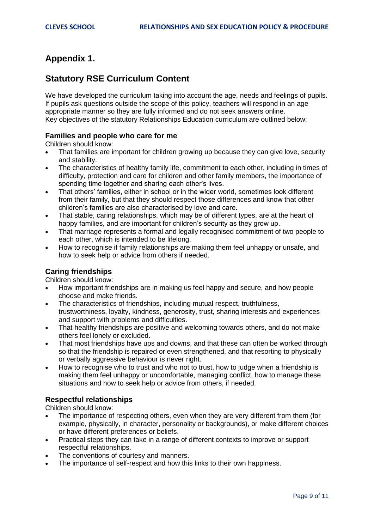# **Appendix 1.**

# **Statutory RSE Curriculum Content**

We have developed the curriculum taking into account the age, needs and feelings of pupils. If pupils ask questions outside the scope of this policy, teachers will respond in an age appropriate manner so they are fully informed and do not seek answers online. Key objectives of the statutory Relationships Education curriculum are outlined below:

# **Families and people who care for me**

Children should know:

- That families are important for children growing up because they can give love, security and stability.
- The characteristics of healthy family life, commitment to each other, including in times of difficulty, protection and care for children and other family members, the importance of spending time together and sharing each other's lives.
- That others' families, either in school or in the wider world, sometimes look different from their family, but that they should respect those differences and know that other children's families are also characterised by love and care.
- That stable, caring relationships, which may be of different types, are at the heart of happy families, and are important for children's security as they grow up.
- That marriage represents a formal and legally recognised commitment of two people to each other, which is intended to be lifelong.
- How to recognise if family relationships are making them feel unhappy or unsafe, and how to seek help or advice from others if needed.

# **Caring friendships**

Children should know:

- How important friendships are in making us feel happy and secure, and how people choose and make friends.
- The characteristics of friendships, including mutual respect, truthfulness, trustworthiness, loyalty, kindness, generosity, trust, sharing interests and experiences and support with problems and difficulties.
- That healthy friendships are positive and welcoming towards others, and do not make others feel lonely or excluded.
- That most friendships have ups and downs, and that these can often be worked through so that the friendship is repaired or even strengthened, and that resorting to physically or verbally aggressive behaviour is never right.
- How to recognise who to trust and who not to trust, how to judge when a friendship is making them feel unhappy or uncomfortable, managing conflict, how to manage these situations and how to seek help or advice from others, if needed.

# **Respectful relationships**

Children should know:

- The importance of respecting others, even when they are very different from them (for example, physically, in character, personality or backgrounds), or make different choices or have different preferences or beliefs.
- Practical steps they can take in a range of different contexts to improve or support respectful relationships.
- The conventions of courtesy and manners.
- The importance of self-respect and how this links to their own happiness.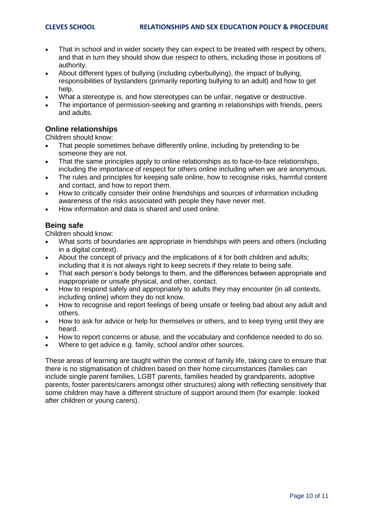- That in school and in wider society they can expect to be treated with respect by others, and that in turn they should show due respect to others, including those in positions of authority.
- About different types of bullying (including cyberbullying), the impact of bullying, responsibilities of bystanders (primarily reporting bullying to an adult) and how to get help.
- What a stereotype is, and how stereotypes can be unfair, negative or destructive.
- The importance of permission-seeking and granting in relationships with friends, peers and adults.

# **Online relationships**

Children should know:

- That people sometimes behave differently online, including by pretending to be someone they are not.
- That the same principles apply to online relationships as to face-to-face relationships, including the importance of respect for others online including when we are anonymous.
- The rules and principles for keeping safe online, how to recognise risks, harmful content and contact, and how to report them.
- How to critically consider their online friendships and sources of information including awareness of the risks associated with people they have never met.
- How information and data is shared and used online.

# **Being safe**

Children should know:

- What sorts of boundaries are appropriate in friendships with peers and others (including in a digital context).
- About the concept of privacy and the implications of it for both children and adults; including that it is not always right to keep secrets if they relate to being safe.
- That each person's body belongs to them, and the differences between appropriate and inappropriate or unsafe physical, and other, contact.
- How to respond safely and appropriately to adults they may encounter (in all contexts, including online) whom they do not know.
- How to recognise and report feelings of being unsafe or feeling bad about any adult and others.
- How to ask for advice or help for themselves or others, and to keep trying until they are heard.
- How to report concerns or abuse, and the vocabulary and confidence needed to do so.
- Where to get advice e.g. family, school and/or other sources.

These areas of learning are taught within the context of family life, taking care to ensure that there is no stigmatisation of children based on their home circumstances (families can include single parent families, LGBT parents, families headed by grandparents, adoptive parents, foster parents/carers amongst other structures) along with reflecting sensitively that some children may have a different structure of support around them (for example: looked after children or young carers).